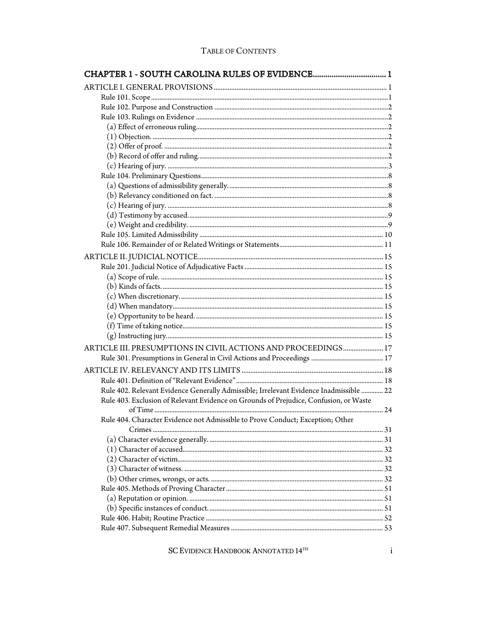| <b>TABLE OF CONTENTS</b> |  |
|--------------------------|--|
|--------------------------|--|

| ARTICLE III. PRESUMPTIONS IN CIVIL ACTIONS AND PROCEEDINGS 17                          |  |
|----------------------------------------------------------------------------------------|--|
|                                                                                        |  |
|                                                                                        |  |
|                                                                                        |  |
| Rule 402. Relevant Evidence Generally Admissible; Irrelevant Evidence Inadmissible  22 |  |
| Rule 403. Exclusion of Relevant Evidence on Grounds of Prejudice, Confusion, or Waste  |  |
|                                                                                        |  |
| Rule 404. Character Evidence not Admissible to Prove Conduct; Exception; Other         |  |
|                                                                                        |  |
|                                                                                        |  |
|                                                                                        |  |
|                                                                                        |  |
|                                                                                        |  |
|                                                                                        |  |
|                                                                                        |  |
|                                                                                        |  |
|                                                                                        |  |
|                                                                                        |  |
|                                                                                        |  |

SC EVIDENCE HANDBOOK ANNOTATED  $14^{\mathrm{TH}}$ 

 $\frac{1}{\sqrt{2}}\left( \frac{1}{\sqrt{2}}\right) \left( \frac{1}{\sqrt{2}}\right) \left( \frac{1}{\sqrt{2}}\right) \left( \frac{1}{\sqrt{2}}\right) \left( \frac{1}{\sqrt{2}}\right) \left( \frac{1}{\sqrt{2}}\right) \left( \frac{1}{\sqrt{2}}\right) \left( \frac{1}{\sqrt{2}}\right) \left( \frac{1}{\sqrt{2}}\right) \left( \frac{1}{\sqrt{2}}\right) \left( \frac{1}{\sqrt{2}}\right) \left( \frac{1}{\sqrt{2}}\right) \left( \frac{1}{\sqrt{2}}\right) \left$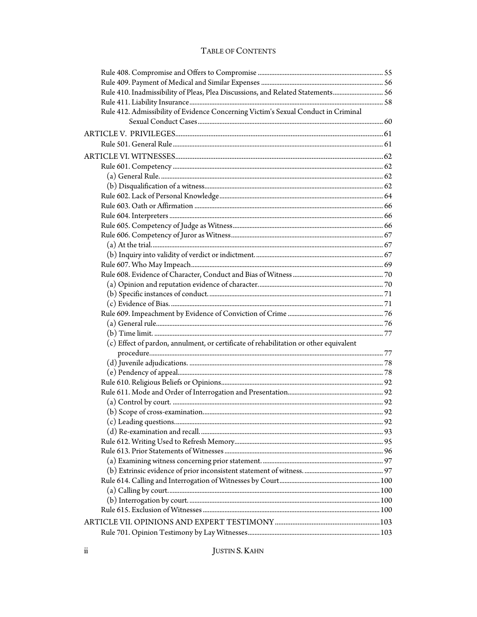| Rule 410. Inadmissibility of Pleas, Plea Discussions, and Related Statements 56       |  |
|---------------------------------------------------------------------------------------|--|
|                                                                                       |  |
| Rule 412. Admissibility of Evidence Concerning Victim's Sexual Conduct in Criminal    |  |
|                                                                                       |  |
|                                                                                       |  |
|                                                                                       |  |
|                                                                                       |  |
|                                                                                       |  |
|                                                                                       |  |
|                                                                                       |  |
|                                                                                       |  |
|                                                                                       |  |
|                                                                                       |  |
|                                                                                       |  |
|                                                                                       |  |
|                                                                                       |  |
|                                                                                       |  |
|                                                                                       |  |
|                                                                                       |  |
|                                                                                       |  |
|                                                                                       |  |
|                                                                                       |  |
|                                                                                       |  |
|                                                                                       |  |
|                                                                                       |  |
| (c) Effect of pardon, annulment, or certificate of rehabilitation or other equivalent |  |
|                                                                                       |  |
|                                                                                       |  |
|                                                                                       |  |
|                                                                                       |  |
|                                                                                       |  |
|                                                                                       |  |
|                                                                                       |  |
|                                                                                       |  |
|                                                                                       |  |
|                                                                                       |  |
|                                                                                       |  |
|                                                                                       |  |
|                                                                                       |  |
|                                                                                       |  |
|                                                                                       |  |
|                                                                                       |  |
|                                                                                       |  |
|                                                                                       |  |
|                                                                                       |  |
|                                                                                       |  |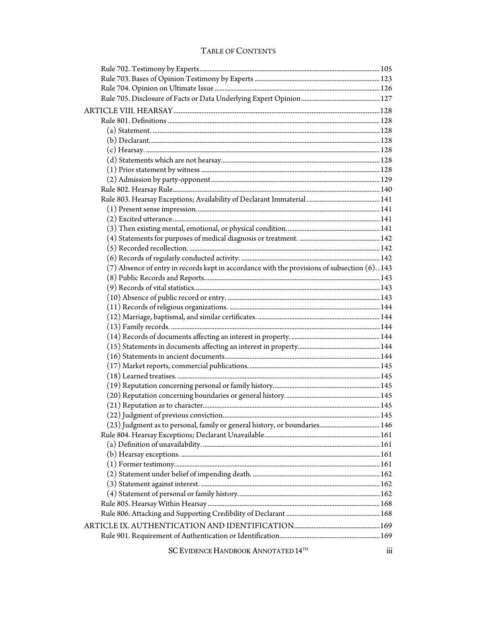| $(7)$ Absence of entry in records kept in accordance with the provisions of subsection $(6)$ . 143 |     |
|----------------------------------------------------------------------------------------------------|-----|
|                                                                                                    |     |
|                                                                                                    |     |
|                                                                                                    |     |
|                                                                                                    |     |
|                                                                                                    |     |
|                                                                                                    |     |
|                                                                                                    |     |
|                                                                                                    |     |
|                                                                                                    |     |
|                                                                                                    |     |
|                                                                                                    |     |
|                                                                                                    |     |
|                                                                                                    |     |
|                                                                                                    |     |
|                                                                                                    |     |
|                                                                                                    |     |
|                                                                                                    |     |
|                                                                                                    |     |
|                                                                                                    |     |
|                                                                                                    |     |
|                                                                                                    |     |
|                                                                                                    |     |
|                                                                                                    |     |
|                                                                                                    |     |
|                                                                                                    |     |
|                                                                                                    |     |
|                                                                                                    |     |
|                                                                                                    |     |
| SC EVIDENCE HANDBOOK ANNOTATED 14TH                                                                | iii |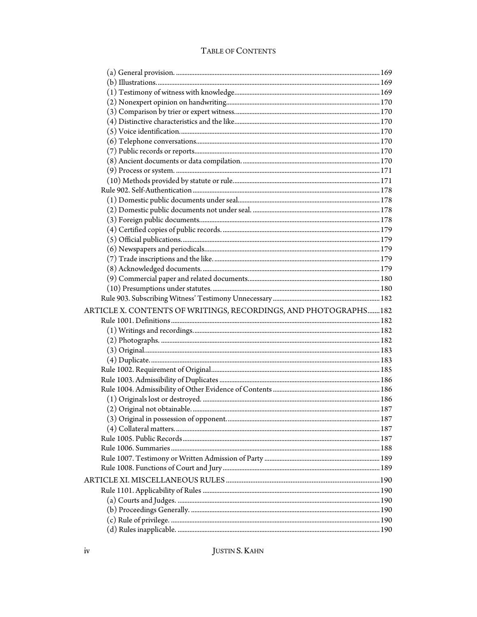| ARTICLE X. CONTENTS OF WRITINGS, RECORDINGS, AND PHOTOGRAPHS182 |  |
|-----------------------------------------------------------------|--|
|                                                                 |  |
|                                                                 |  |
|                                                                 |  |
|                                                                 |  |
|                                                                 |  |
|                                                                 |  |
|                                                                 |  |
|                                                                 |  |
|                                                                 |  |
|                                                                 |  |
|                                                                 |  |
|                                                                 |  |
|                                                                 |  |
|                                                                 |  |
|                                                                 |  |
|                                                                 |  |
|                                                                 |  |
|                                                                 |  |
|                                                                 |  |
|                                                                 |  |
|                                                                 |  |

**JUSTIN S. KAHN**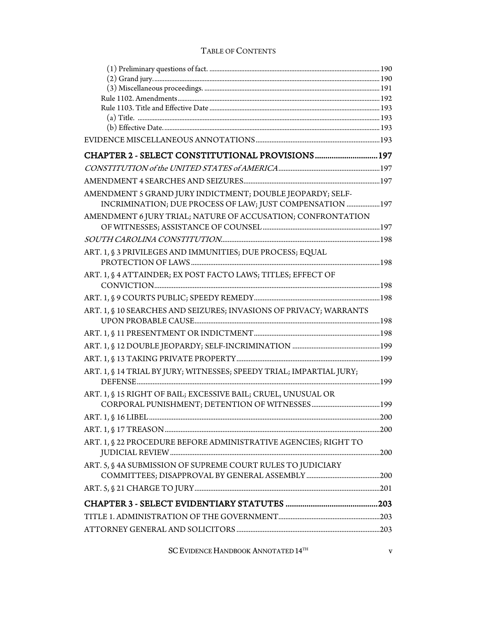| AMENDMENT 5 GRAND JURY INDICTMENT; DOUBLE JEOPARDY; SELF-            |  |
|----------------------------------------------------------------------|--|
| INCRIMINATION; DUE PROCESS OF LAW; JUST COMPENSATION  197            |  |
| AMENDMENT 6 JURY TRIAL; NATURE OF ACCUSATION; CONFRONTATION          |  |
|                                                                      |  |
| ART. 1, § 3 PRIVILEGES AND IMMUNITIES; DUE PROCESS; EQUAL            |  |
|                                                                      |  |
| ART. 1, § 4 ATTAINDER; EX POST FACTO LAWS; TITLES; EFFECT OF         |  |
|                                                                      |  |
| ART. 1, § 10 SEARCHES AND SEIZURES; INVASIONS OF PRIVACY; WARRANTS   |  |
|                                                                      |  |
|                                                                      |  |
|                                                                      |  |
| ART. 1, § 14 TRIAL BY JURY; WITNESSES; SPEEDY TRIAL; IMPARTIAL JURY; |  |
| ART. 1, § 15 RIGHT OF BAIL; EXCESSIVE BAIL; CRUEL, UNUSUAL OR        |  |
|                                                                      |  |
|                                                                      |  |
|                                                                      |  |
|                                                                      |  |
| ART. 1, § 22 PROCEDURE BEFORE ADMINISTRATIVE AGENCIES; RIGHT TO      |  |
| ART. 5, § 4A SUBMISSION OF SUPREME COURT RULES TO JUDICIARY          |  |
|                                                                      |  |
|                                                                      |  |
|                                                                      |  |
|                                                                      |  |
|                                                                      |  |
|                                                                      |  |

SC EVIDENCE HANDBOOK ANNOTATED  $14^{TH}$  v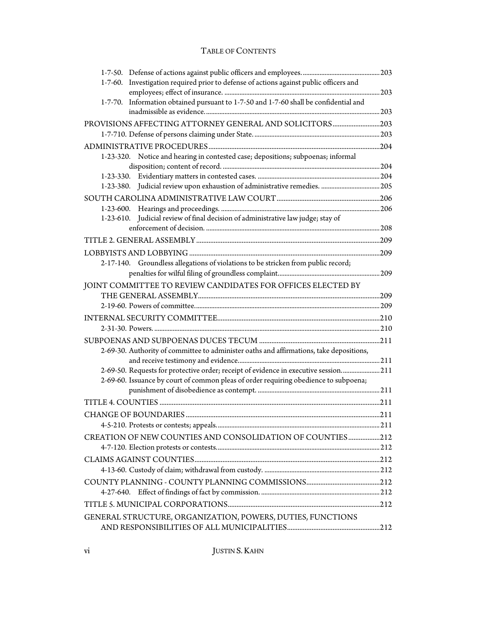| 1-7-60. Investigation required prior to defense of actions against public officers and    |      |
|-------------------------------------------------------------------------------------------|------|
|                                                                                           |      |
| Information obtained pursuant to 1-7-50 and 1-7-60 shall be confidential and<br>$1-7-70.$ |      |
|                                                                                           |      |
| PROVISIONS AFFECTING ATTORNEY GENERAL AND SOLICITORS203                                   |      |
|                                                                                           |      |
|                                                                                           |      |
| 1-23-320. Notice and hearing in contested case; depositions; subpoenas; informal          |      |
|                                                                                           |      |
|                                                                                           |      |
|                                                                                           |      |
|                                                                                           |      |
|                                                                                           |      |
| 1-23-610. Judicial review of final decision of administrative law judge; stay of          |      |
|                                                                                           |      |
|                                                                                           |      |
|                                                                                           |      |
| 2-17-140. Groundless allegations of violations to be stricken from public record;         |      |
|                                                                                           |      |
| JOINT COMMITTEE TO REVIEW CANDIDATES FOR OFFICES ELECTED BY                               |      |
|                                                                                           |      |
|                                                                                           |      |
|                                                                                           |      |
|                                                                                           |      |
|                                                                                           |      |
| 2-69-30. Authority of committee to administer oaths and affirmations, take depositions,   |      |
|                                                                                           |      |
| 2-69-50. Requests for protective order; receipt of evidence in executive session 211      |      |
| 2-69-60. Issuance by court of common pleas of order requiring obedience to subpoena;      |      |
|                                                                                           |      |
|                                                                                           |      |
| CHANGE OF BOUNDARIES                                                                      | .211 |
|                                                                                           |      |
| CREATION OF NEW COUNTIES AND CONSOLIDATION OF COUNTIES212                                 |      |
|                                                                                           |      |
|                                                                                           |      |
|                                                                                           |      |
|                                                                                           |      |
|                                                                                           |      |
|                                                                                           |      |
|                                                                                           |      |
| GENERAL STRUCTURE, ORGANIZATION, POWERS, DUTIES, FUNCTIONS                                |      |
|                                                                                           |      |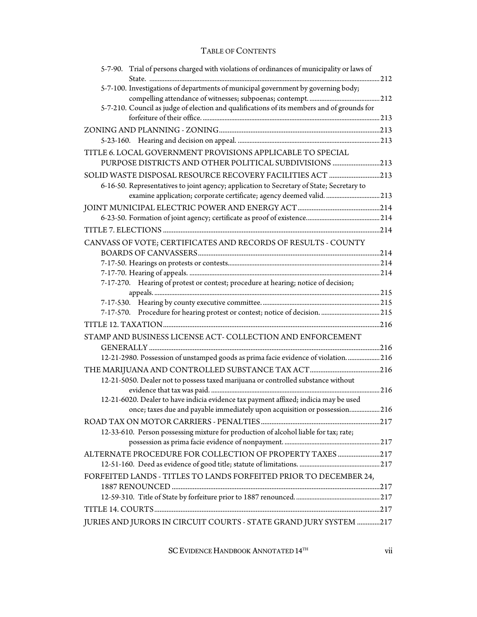| 5-7-90. Trial of persons charged with violations of ordinances of municipality or laws of  |  |
|--------------------------------------------------------------------------------------------|--|
| 5-7-100. Investigations of departments of municipal government by governing body;          |  |
|                                                                                            |  |
| 5-7-210. Council as judge of election and qualifications of its members and of grounds for |  |
|                                                                                            |  |
|                                                                                            |  |
|                                                                                            |  |
| TITLE 6. LOCAL GOVERNMENT PROVISIONS APPLICABLE TO SPECIAL                                 |  |
| PURPOSE DISTRICTS AND OTHER POLITICAL SUBDIVISIONS 213                                     |  |
| SOLID WASTE DISPOSAL RESOURCE RECOVERY FACILITIES ACT 213                                  |  |
| 6-16-50. Representatives to joint agency; application to Secretary of State; Secretary to  |  |
| examine application; corporate certificate; agency deemed valid.  213                      |  |
|                                                                                            |  |
|                                                                                            |  |
|                                                                                            |  |
| CANVASS OF VOTE; CERTIFICATES AND RECORDS OF RESULTS - COUNTY                              |  |
|                                                                                            |  |
|                                                                                            |  |
|                                                                                            |  |
| 7-17-270. Hearing of protest or contest; procedure at hearing; notice of decision;         |  |
|                                                                                            |  |
| 7-17-570. Procedure for hearing protest or contest; notice of decision.  215               |  |
|                                                                                            |  |
|                                                                                            |  |
| STAMP AND BUSINESS LICENSE ACT- COLLECTION AND ENFORCEMENT                                 |  |
| 12-21-2980. Possession of unstamped goods as prima facie evidence of violation.  216       |  |
|                                                                                            |  |
| 12-21-5050. Dealer not to possess taxed marijuana or controlled substance without          |  |
|                                                                                            |  |
| 12-21-6020. Dealer to have indicia evidence tax payment affixed; indicia may be used       |  |
| once; taxes due and payable immediately upon acquisition or possession 216                 |  |
|                                                                                            |  |
| 12-33-610. Person possessing mixture for production of alcohol liable for tax; rate;       |  |
|                                                                                            |  |
| ALTERNATE PROCEDURE FOR COLLECTION OF PROPERTY TAXES 217                                   |  |
|                                                                                            |  |
| FORFEITED LANDS - TITLES TO LANDS FORFEITED PRIOR TO DECEMBER 24,                          |  |
|                                                                                            |  |
|                                                                                            |  |
|                                                                                            |  |
| JURIES AND JURORS IN CIRCUIT COURTS - STATE GRAND JURY SYSTEM 217                          |  |

SC EVIDENCE HANDBOOK ANNOTATED  $14^{TH}$  vii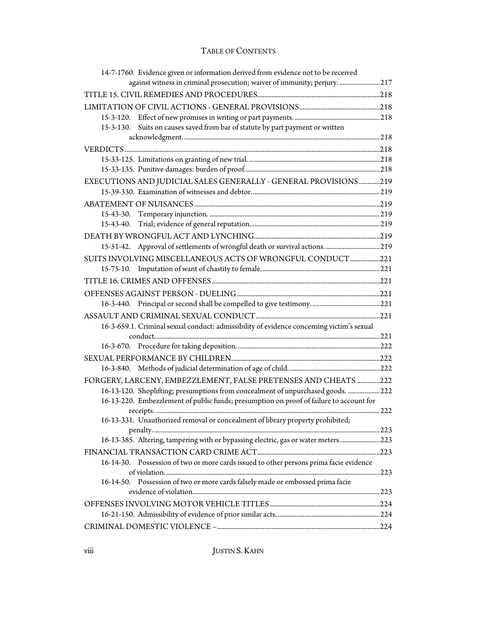| 14-7-1760. Evidence given or information derived from evidence not to be received                                                                                           |  |
|-----------------------------------------------------------------------------------------------------------------------------------------------------------------------------|--|
| against witness in criminal prosecution; waiver of immunity; perjury.  217                                                                                                  |  |
|                                                                                                                                                                             |  |
|                                                                                                                                                                             |  |
|                                                                                                                                                                             |  |
| Suits on causes saved from bar of statute by part payment or written<br>15-3-130.                                                                                           |  |
|                                                                                                                                                                             |  |
|                                                                                                                                                                             |  |
|                                                                                                                                                                             |  |
|                                                                                                                                                                             |  |
| EXECUTIONS AND JUDICIAL SALES GENERALLY - GENERAL PROVISIONS 219                                                                                                            |  |
|                                                                                                                                                                             |  |
|                                                                                                                                                                             |  |
| 15-43-30.                                                                                                                                                                   |  |
| 15-43-40.                                                                                                                                                                   |  |
|                                                                                                                                                                             |  |
| 15-51-42. Approval of settlements of wrongful death or survival actions.  219                                                                                               |  |
| SUITS INVOLVING MISCELLANEOUS ACTS OF WRONGFUL CONDUCT 221                                                                                                                  |  |
|                                                                                                                                                                             |  |
|                                                                                                                                                                             |  |
|                                                                                                                                                                             |  |
|                                                                                                                                                                             |  |
|                                                                                                                                                                             |  |
| 16-3-659.1. Criminal sexual conduct: admissibility of evidence concerning victim's sexual                                                                                   |  |
|                                                                                                                                                                             |  |
|                                                                                                                                                                             |  |
|                                                                                                                                                                             |  |
|                                                                                                                                                                             |  |
| FORGERY, LARCENY, EMBEZZLEMENT, FALSE PRETENSES AND CHEATS 222                                                                                                              |  |
| 16-13-120. Shoplifting; presumptions from concealment of unpurchased goods.  222<br>16-13-220. Embezzlement of public funds; presumption on proof of failure to account for |  |
|                                                                                                                                                                             |  |
| 16-13-331. Unauthorized removal or concealment of library property prohibited;                                                                                              |  |
|                                                                                                                                                                             |  |
| 16-13-385. Altering, tampering with or bypassing electric, gas or water meters 223                                                                                          |  |
|                                                                                                                                                                             |  |
| 16-14-30. Possession of two or more cards issued to other persons prima facie evidence                                                                                      |  |
|                                                                                                                                                                             |  |
| 16-14-50. Possession of two or more cards falsely made or embossed prima facie                                                                                              |  |
|                                                                                                                                                                             |  |
|                                                                                                                                                                             |  |
|                                                                                                                                                                             |  |
|                                                                                                                                                                             |  |

viii JUSTIN S. KAHN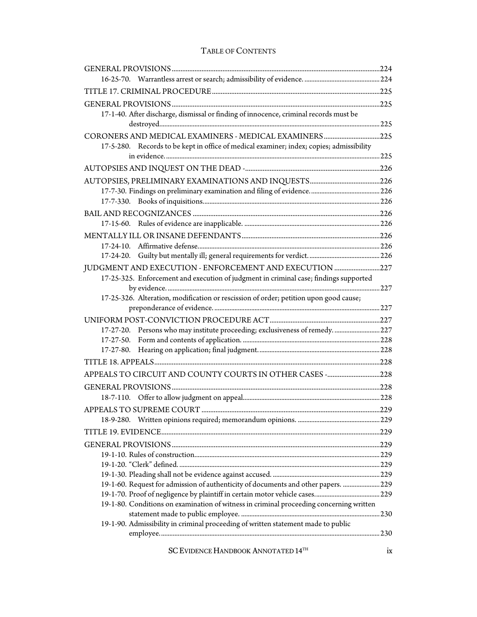| 17-1-40. After discharge, dismissal or finding of innocence, criminal records must be    |  |
|------------------------------------------------------------------------------------------|--|
|                                                                                          |  |
|                                                                                          |  |
| 17-5-280. Records to be kept in office of medical examiner; index; copies; admissibility |  |
|                                                                                          |  |
|                                                                                          |  |
|                                                                                          |  |
|                                                                                          |  |
|                                                                                          |  |
|                                                                                          |  |
|                                                                                          |  |
|                                                                                          |  |
|                                                                                          |  |
|                                                                                          |  |
| JUDGMENT AND EXECUTION - ENFORCEMENT AND EXECUTION 227                                   |  |
| 17-25-325. Enforcement and execution of judgment in criminal case; findings supported    |  |
|                                                                                          |  |
| 17-25-326. Alteration, modification or rescission of order; petition upon good cause;    |  |
|                                                                                          |  |
|                                                                                          |  |
| 17-27-20. Persons who may institute proceeding; exclusiveness of remedy.  227            |  |
|                                                                                          |  |
|                                                                                          |  |
|                                                                                          |  |
| APPEALS TO CIRCUIT AND COUNTY COURTS IN OTHER CASES -228                                 |  |
|                                                                                          |  |
| 18-7-110.                                                                                |  |
|                                                                                          |  |
|                                                                                          |  |
|                                                                                          |  |
|                                                                                          |  |
|                                                                                          |  |
|                                                                                          |  |
|                                                                                          |  |
| 19-1-60. Request for admission of authenticity of documents and other papers.  229       |  |
|                                                                                          |  |
| 19-1-80. Conditions on examination of witness in criminal proceeding concerning written  |  |
|                                                                                          |  |
| 19-1-90. Admissibility in criminal proceeding of written statement made to public        |  |
|                                                                                          |  |

SC EVIDENCE HANDBOOK ANNOTATED  $14^{TH}$  ix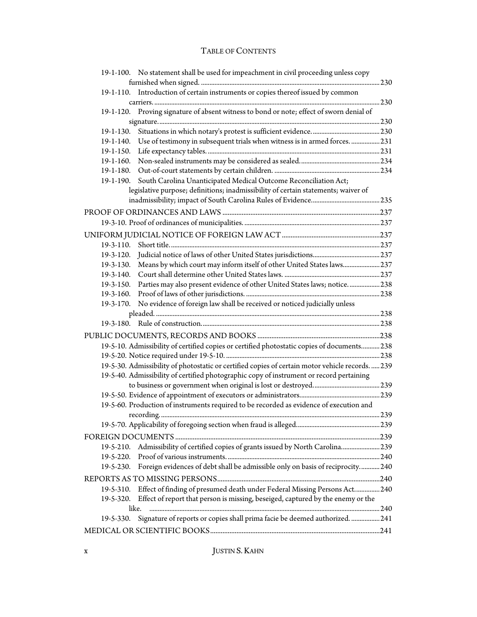|             | 19-1-100. No statement shall be used for impeachment in civil proceeding unless copy             |  |
|-------------|--------------------------------------------------------------------------------------------------|--|
|             |                                                                                                  |  |
| 19-1-110.   | Introduction of certain instruments or copies thereof issued by common                           |  |
|             |                                                                                                  |  |
| 19-1-120.   | Proving signature of absent witness to bond or note; effect of sworn denial of                   |  |
|             |                                                                                                  |  |
| 19-1-130.   |                                                                                                  |  |
| 19-1-140.   | Use of testimony in subsequent trials when witness is in armed forces.  231                      |  |
| 19-1-150.   |                                                                                                  |  |
| 19-1-160.   |                                                                                                  |  |
| 19-1-180.   |                                                                                                  |  |
| 19-1-190.   | South Carolina Unanticipated Medical Outcome Reconciliation Act;                                 |  |
|             | legislative purpose; definitions; inadmissibility of certain statements; waiver of               |  |
|             |                                                                                                  |  |
|             |                                                                                                  |  |
|             |                                                                                                  |  |
|             |                                                                                                  |  |
| $19-3-110.$ |                                                                                                  |  |
| $19-3-120.$ |                                                                                                  |  |
| 19-3-130.   | Means by which court may inform itself of other United States laws 237                           |  |
| $19-3-140.$ |                                                                                                  |  |
| 19-3-150.   | Parties may also present evidence of other United States laws; notice 238                        |  |
| 19-3-160.   |                                                                                                  |  |
| 19-3-170.   | No evidence of foreign law shall be received or noticed judicially unless                        |  |
|             |                                                                                                  |  |
| $19-3-180.$ |                                                                                                  |  |
|             |                                                                                                  |  |
|             | 19-5-10. Admissibility of certified copies or certified photostatic copies of documents 238      |  |
|             |                                                                                                  |  |
|             | 19-5-30. Admissibility of photostatic or certified copies of certain motor vehicle records.  239 |  |
|             | 19-5-40. Admissibility of certified photographic copy of instrument or record pertaining         |  |
|             |                                                                                                  |  |
|             |                                                                                                  |  |
|             | 19-5-60. Production of instruments required to be recorded as evidence of execution and          |  |
|             |                                                                                                  |  |
|             |                                                                                                  |  |
|             |                                                                                                  |  |
| 19-5-210.   | Admissibility of certified copies of grants issued by North Carolina 239                         |  |
| 19-5-220.   |                                                                                                  |  |
| 19-5-230.   | Foreign evidences of debt shall be admissible only on basis of reciprocity 240                   |  |
|             |                                                                                                  |  |
|             |                                                                                                  |  |
| 19-5-310.   | Effect of finding of presumed death under Federal Missing Persons Act 240                        |  |
| 19-5-320.   | Effect of report that person is missing, beseiged, captured by the enemy or the<br>like.         |  |
|             | Signature of reports or copies shall prima facie be deemed authorized.  241                      |  |
| 19-5-330.   |                                                                                                  |  |
|             |                                                                                                  |  |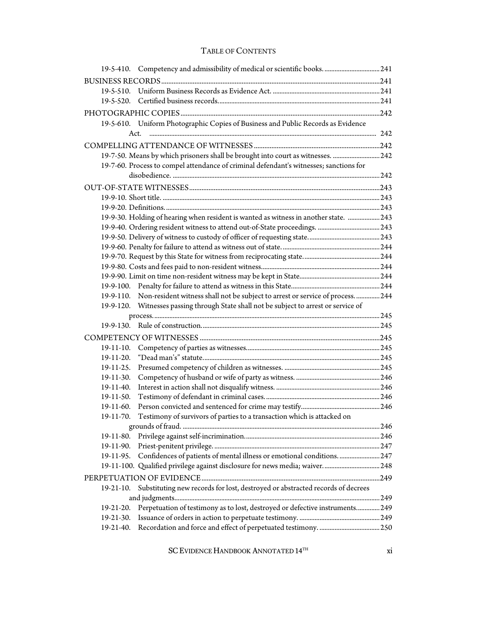| 19-5-520.   |                                                                                           |  |
|-------------|-------------------------------------------------------------------------------------------|--|
|             |                                                                                           |  |
|             | 19-5-610. Uniform Photographic Copies of Business and Public Records as Evidence          |  |
|             |                                                                                           |  |
|             |                                                                                           |  |
|             | 19-7-50. Means by which prisoners shall be brought into court as witnesses.  242          |  |
|             | 19-7-60. Process to compel attendance of criminal defendant's witnesses; sanctions for    |  |
|             |                                                                                           |  |
|             |                                                                                           |  |
|             |                                                                                           |  |
|             |                                                                                           |  |
|             | 19-9-30. Holding of hearing when resident is wanted as witness in another state.  243     |  |
|             |                                                                                           |  |
|             |                                                                                           |  |
|             |                                                                                           |  |
|             |                                                                                           |  |
|             |                                                                                           |  |
|             |                                                                                           |  |
| 19-9-100.   |                                                                                           |  |
|             | 19-9-110. Non-resident witness shall not be subject to arrest or service of process.  244 |  |
|             | 19-9-120. Witnesses passing through State shall not be subject to arrest or service of    |  |
|             |                                                                                           |  |
| $19-9-130.$ |                                                                                           |  |
|             |                                                                                           |  |
| $19-11-10.$ |                                                                                           |  |
| 19-11-20.   |                                                                                           |  |
| 19-11-25.   |                                                                                           |  |
| 19-11-30.   |                                                                                           |  |
| 19-11-40.   |                                                                                           |  |
| 19-11-50.   |                                                                                           |  |
| 19-11-60.   |                                                                                           |  |
|             | 19-11-70. Testimony of survivors of parties to a transaction which is attacked on         |  |
|             |                                                                                           |  |
| 19-11-80.   |                                                                                           |  |
| 19-11-90.   |                                                                                           |  |
| 19-11-95.   | Confidences of patients of mental illness or emotional conditions.  247                   |  |
|             | 19-11-100. Qualified privilege against disclosure for news media; waiver 248              |  |
|             |                                                                                           |  |
| $19-21-10.$ | Substituting new records for lost, destroyed or abstracted records of decrees             |  |
|             |                                                                                           |  |
| 19-21-20.   | Perpetuation of testimony as to lost, destroyed or defective instruments 249              |  |
|             |                                                                                           |  |
| 19-21-40.   |                                                                                           |  |

SC EVIDENCE HANDBOOK ANNOTATED  $14^{TH}$  xi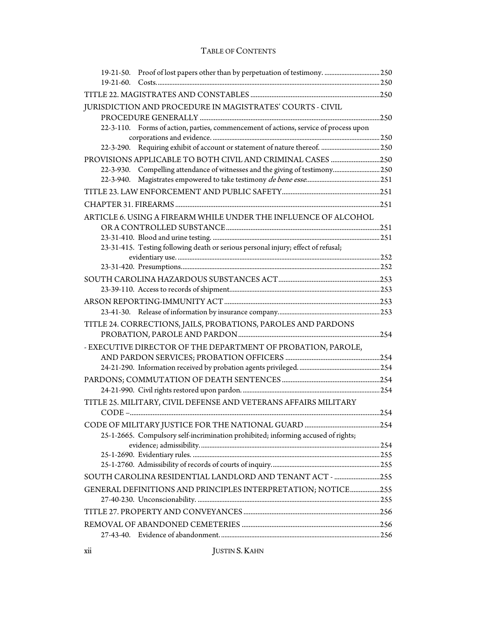| JURISDICTION AND PROCEDURE IN MAGISTRATES' COURTS - CIVIL                                       |  |
|-------------------------------------------------------------------------------------------------|--|
|                                                                                                 |  |
| 22-3-110. Forms of action, parties, commencement of actions, service of process upon            |  |
|                                                                                                 |  |
| $22 - 3 - 290.$                                                                                 |  |
| PROVISIONS APPLICABLE TO BOTH CIVIL AND CRIMINAL CASES 250                                      |  |
| 22-3-930. Compelling attendance of witnesses and the giving of testimony 250<br>$22 - 3 - 940.$ |  |
|                                                                                                 |  |
|                                                                                                 |  |
|                                                                                                 |  |
| ARTICLE 6. USING A FIREARM WHILE UNDER THE INFLUENCE OF ALCOHOL                                 |  |
|                                                                                                 |  |
|                                                                                                 |  |
| 23-31-415. Testing following death or serious personal injury; effect of refusal;               |  |
|                                                                                                 |  |
|                                                                                                 |  |
|                                                                                                 |  |
|                                                                                                 |  |
|                                                                                                 |  |
| TITLE 24. CORRECTIONS, JAILS, PROBATIONS, PAROLES AND PARDONS                                   |  |
|                                                                                                 |  |
| - EXECUTIVE DIRECTOR OF THE DEPARTMENT OF PROBATION, PAROLE,                                    |  |
|                                                                                                 |  |
|                                                                                                 |  |
|                                                                                                 |  |
|                                                                                                 |  |
| TITLE 25. MILITARY, CIVIL DEFENSE AND VETERANS AFFAIRS MILITARY                                 |  |
|                                                                                                 |  |
|                                                                                                 |  |
| 25-1-2665. Compulsory self-incrimination prohibited; informing accused of rights;               |  |
|                                                                                                 |  |
|                                                                                                 |  |
|                                                                                                 |  |
| SOUTH CAROLINA RESIDENTIAL LANDLORD AND TENANT ACT - 255                                        |  |
| GENERAL DEFINITIONS AND PRINCIPLES INTERPRETATION; NOTICE255                                    |  |
|                                                                                                 |  |
|                                                                                                 |  |
|                                                                                                 |  |
|                                                                                                 |  |
|                                                                                                 |  |

xii JUSTIN S. KAHN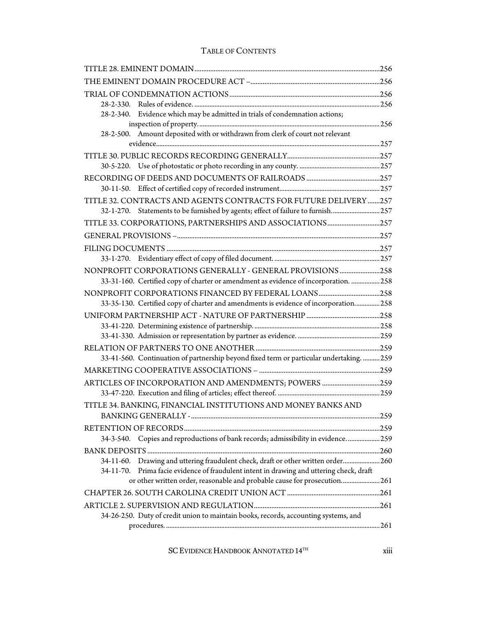| 28-2-340. Evidence which may be admitted in trials of condemnation actions;                   |  |
|-----------------------------------------------------------------------------------------------|--|
|                                                                                               |  |
| 28-2-500. Amount deposited with or withdrawn from clerk of court not relevant                 |  |
|                                                                                               |  |
|                                                                                               |  |
|                                                                                               |  |
|                                                                                               |  |
|                                                                                               |  |
| TITLE 32. CONTRACTS AND AGENTS CONTRACTS FOR FUTURE DELIVERY 257                              |  |
| 32-1-270. Statements to be furnished by agents; effect of failure to furnish 257              |  |
|                                                                                               |  |
|                                                                                               |  |
|                                                                                               |  |
|                                                                                               |  |
| NONPROFIT CORPORATIONS GENERALLY - GENERAL PROVISIONS 258                                     |  |
| 33-31-160. Certified copy of charter or amendment as evidence of incorporation.  258          |  |
|                                                                                               |  |
| 33-35-130. Certified copy of charter and amendments is evidence of incorporation 258          |  |
|                                                                                               |  |
|                                                                                               |  |
|                                                                                               |  |
|                                                                                               |  |
| 33-41-560. Continuation of partnership beyond fixed term or particular undertaking.  259      |  |
|                                                                                               |  |
|                                                                                               |  |
|                                                                                               |  |
| TITLE 34. BANKING, FINANCIAL INSTITUTIONS AND MONEY BANKS AND                                 |  |
|                                                                                               |  |
|                                                                                               |  |
| Copies and reproductions of bank records; admissibility in evidence 259<br>34-3-540.          |  |
|                                                                                               |  |
| 34-11-60. Drawing and uttering fraudulent check, draft or other written order 260             |  |
| Prima facie evidence of fraudulent intent in drawing and uttering check, draft<br>$34-11-70.$ |  |
| or other written order, reasonable and probable cause for prosecution 261                     |  |
|                                                                                               |  |
|                                                                                               |  |
| 34-26-250. Duty of credit union to maintain books, records, accounting systems, and           |  |
|                                                                                               |  |
|                                                                                               |  |

SC EVIDENCE HANDBOOK ANNOTATED  $14^{TH}$  xiii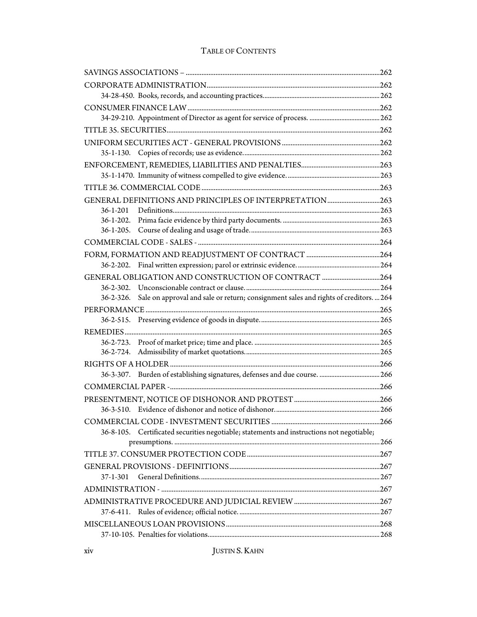| GENERAL DEFINITIONS AND PRINCIPLES OF INTERPRETATION263                                                 |  |
|---------------------------------------------------------------------------------------------------------|--|
| $36 - 1 - 201$                                                                                          |  |
|                                                                                                         |  |
|                                                                                                         |  |
|                                                                                                         |  |
|                                                                                                         |  |
|                                                                                                         |  |
|                                                                                                         |  |
| 36-2-302.                                                                                               |  |
| Sale on approval and sale or return; consignment sales and rights of creditors.  264<br>$36 - 2 - 326.$ |  |
|                                                                                                         |  |
|                                                                                                         |  |
|                                                                                                         |  |
|                                                                                                         |  |
|                                                                                                         |  |
|                                                                                                         |  |
|                                                                                                         |  |
|                                                                                                         |  |
|                                                                                                         |  |
|                                                                                                         |  |
|                                                                                                         |  |
| 36-8-105. Certificated securities negotiable; statements and instructions not negotiable;               |  |
|                                                                                                         |  |
|                                                                                                         |  |
|                                                                                                         |  |
| 37-1-301                                                                                                |  |
|                                                                                                         |  |
|                                                                                                         |  |
|                                                                                                         |  |
|                                                                                                         |  |
|                                                                                                         |  |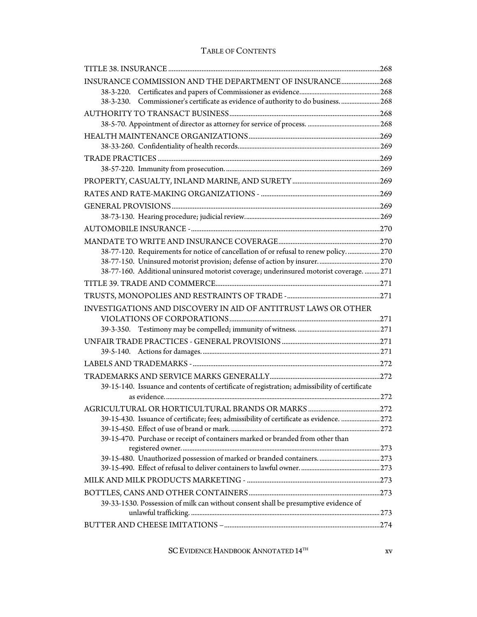| INSURANCE COMMISSION AND THE DEPARTMENT OF INSURANCE268                                       |  |
|-----------------------------------------------------------------------------------------------|--|
| $38 - 3 - 220$ .                                                                              |  |
| Commissioner's certificate as evidence of authority to do business.  268<br>38-3-230.         |  |
|                                                                                               |  |
|                                                                                               |  |
|                                                                                               |  |
|                                                                                               |  |
|                                                                                               |  |
|                                                                                               |  |
|                                                                                               |  |
|                                                                                               |  |
|                                                                                               |  |
|                                                                                               |  |
|                                                                                               |  |
|                                                                                               |  |
| 38-77-120. Requirements for notice of cancellation of or refusal to renew policy.  270        |  |
|                                                                                               |  |
| 38-77-160. Additional uninsured motorist coverage; underinsured motorist coverage.  271       |  |
|                                                                                               |  |
|                                                                                               |  |
| INVESTIGATIONS AND DISCOVERY IN AID OF ANTITRUST LAWS OR OTHER                                |  |
|                                                                                               |  |
| 39-3-350.                                                                                     |  |
|                                                                                               |  |
|                                                                                               |  |
|                                                                                               |  |
|                                                                                               |  |
| 39-15-140. Issuance and contents of certificate of registration; admissibility of certificate |  |
|                                                                                               |  |
|                                                                                               |  |
| 39-15-430. Issuance of certificate; fees; admissibility of certificate as evidence.  272      |  |
| 39-15-470. Purchase or receipt of containers marked or branded from other than                |  |
|                                                                                               |  |
|                                                                                               |  |
|                                                                                               |  |
|                                                                                               |  |
|                                                                                               |  |
| 39-33-1530. Possession of milk can without consent shall be presumptive evidence of           |  |
|                                                                                               |  |
|                                                                                               |  |

SC EVIDENCE HANDBOOK ANNOTATED 14<sup>TH</sup> xv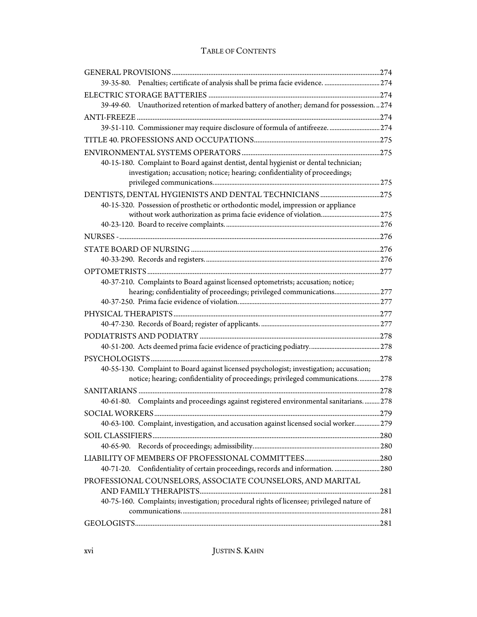| 39-35-80. Penalties; certificate of analysis shall be prima facie evidence.  274                                                                                     |  |
|----------------------------------------------------------------------------------------------------------------------------------------------------------------------|--|
|                                                                                                                                                                      |  |
| 39-49-60. Unauthorized retention of marked battery of another; demand for possession274                                                                              |  |
|                                                                                                                                                                      |  |
| 39-51-110. Commissioner may require disclosure of formula of antifreeze 274                                                                                          |  |
|                                                                                                                                                                      |  |
|                                                                                                                                                                      |  |
| 40-15-180. Complaint to Board against dentist, dental hygienist or dental technician;<br>investigation; accusation; notice; hearing; confidentiality of proceedings; |  |
|                                                                                                                                                                      |  |
| 40-15-320. Possession of prosthetic or orthodontic model, impression or appliance                                                                                    |  |
|                                                                                                                                                                      |  |
|                                                                                                                                                                      |  |
|                                                                                                                                                                      |  |
|                                                                                                                                                                      |  |
|                                                                                                                                                                      |  |
|                                                                                                                                                                      |  |
| 40-37-210. Complaints to Board against licensed optometrists; accusation; notice;                                                                                    |  |
| hearing; confidentiality of proceedings; privileged communications 277                                                                                               |  |
|                                                                                                                                                                      |  |
|                                                                                                                                                                      |  |
|                                                                                                                                                                      |  |
|                                                                                                                                                                      |  |
|                                                                                                                                                                      |  |
|                                                                                                                                                                      |  |
| 40-55-130. Complaint to Board against licensed psychologist; investigation; accusation;                                                                              |  |
| notice; hearing; confidentiality of proceedings; privileged communications 278                                                                                       |  |
|                                                                                                                                                                      |  |
| 40-61-80. Complaints and proceedings against registered environmental sanitarians 278                                                                                |  |
|                                                                                                                                                                      |  |
| 40-63-100. Complaint, investigation, and accusation against licensed social worker 279                                                                               |  |
|                                                                                                                                                                      |  |
|                                                                                                                                                                      |  |
| 40-71-20. Confidentiality of certain proceedings, records and information.  280                                                                                      |  |
|                                                                                                                                                                      |  |
| PROFESSIONAL COUNSELORS, ASSOCIATE COUNSELORS, AND MARITAL                                                                                                           |  |
| 40-75-160. Complaints; investigation; procedural rights of licensee; privileged nature of                                                                            |  |
|                                                                                                                                                                      |  |
|                                                                                                                                                                      |  |
|                                                                                                                                                                      |  |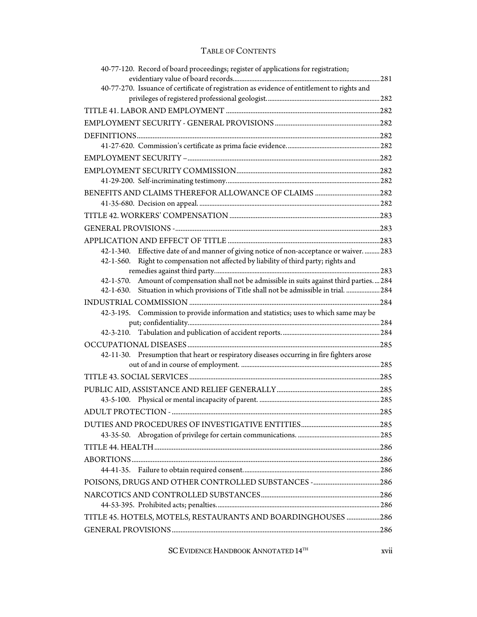| 40-77-120. Record of board proceedings; register of applications for registration;                                                                                                              |  |
|-------------------------------------------------------------------------------------------------------------------------------------------------------------------------------------------------|--|
|                                                                                                                                                                                                 |  |
| 40-77-270. Issuance of certificate of registration as evidence of entitlement to rights and                                                                                                     |  |
|                                                                                                                                                                                                 |  |
|                                                                                                                                                                                                 |  |
|                                                                                                                                                                                                 |  |
|                                                                                                                                                                                                 |  |
|                                                                                                                                                                                                 |  |
|                                                                                                                                                                                                 |  |
|                                                                                                                                                                                                 |  |
|                                                                                                                                                                                                 |  |
|                                                                                                                                                                                                 |  |
|                                                                                                                                                                                                 |  |
|                                                                                                                                                                                                 |  |
|                                                                                                                                                                                                 |  |
|                                                                                                                                                                                                 |  |
| 42-1-340. Effective date of and manner of giving notice of non-acceptance or waiver 283                                                                                                         |  |
| 42-1-560. Right to compensation not affected by liability of third party; rights and                                                                                                            |  |
|                                                                                                                                                                                                 |  |
| 42-1-570. Amount of compensation shall not be admissible in suits against third parties 284<br>Situation in which provisions of Title shall not be admissible in trial.  284<br>$42 - 1 - 630.$ |  |
|                                                                                                                                                                                                 |  |
| 42-3-195. Commission to provide information and statistics; uses to which same may be                                                                                                           |  |
|                                                                                                                                                                                                 |  |
| $42 - 3 - 210.$                                                                                                                                                                                 |  |
|                                                                                                                                                                                                 |  |
| 42-11-30. Presumption that heart or respiratory diseases occurring in fire fighters arose                                                                                                       |  |
|                                                                                                                                                                                                 |  |
|                                                                                                                                                                                                 |  |
|                                                                                                                                                                                                 |  |
|                                                                                                                                                                                                 |  |
|                                                                                                                                                                                                 |  |
|                                                                                                                                                                                                 |  |
|                                                                                                                                                                                                 |  |
|                                                                                                                                                                                                 |  |
|                                                                                                                                                                                                 |  |
|                                                                                                                                                                                                 |  |
|                                                                                                                                                                                                 |  |
|                                                                                                                                                                                                 |  |
|                                                                                                                                                                                                 |  |
| TITLE 45. HOTELS, MOTELS, RESTAURANTS AND BOARDINGHOUSES 286                                                                                                                                    |  |
|                                                                                                                                                                                                 |  |
|                                                                                                                                                                                                 |  |

SC EVIDENCE HANDBOOK ANNOTATED  $14^{TH}$  xvii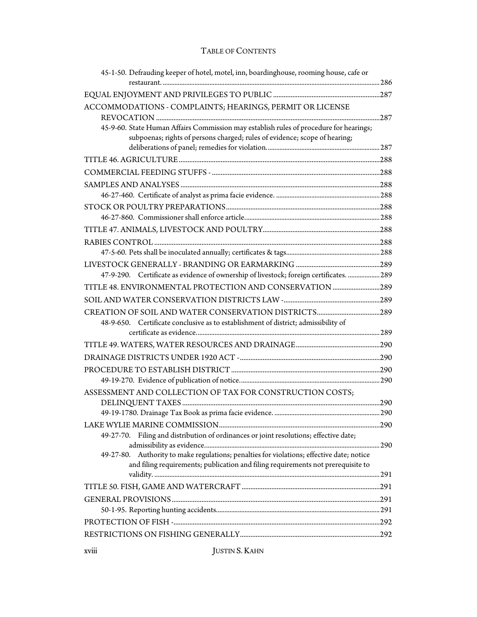| 45-1-50. Defrauding keeper of hotel, motel, inn, boardinghouse, rooming house, cafe or    |  |
|-------------------------------------------------------------------------------------------|--|
|                                                                                           |  |
| ACCOMMODATIONS - COMPLAINTS; HEARINGS, PERMIT OR LICENSE                                  |  |
|                                                                                           |  |
| 45-9-60. State Human Affairs Commission may establish rules of procedure for hearings;    |  |
| subpoenas; rights of persons charged; rules of evidence; scope of hearing;                |  |
|                                                                                           |  |
|                                                                                           |  |
|                                                                                           |  |
|                                                                                           |  |
|                                                                                           |  |
|                                                                                           |  |
|                                                                                           |  |
|                                                                                           |  |
|                                                                                           |  |
|                                                                                           |  |
|                                                                                           |  |
| 47-9-290. Certificate as evidence of ownership of livestock; foreign certificates.  289   |  |
| TITLE 48. ENVIRONMENTAL PROTECTION AND CONSERVATION 289                                   |  |
|                                                                                           |  |
|                                                                                           |  |
| 48-9-650. Certificate conclusive as to establishment of district; admissibility of        |  |
|                                                                                           |  |
|                                                                                           |  |
|                                                                                           |  |
|                                                                                           |  |
| ASSESSMENT AND COLLECTION OF TAX FOR CONSTRUCTION COSTS;                                  |  |
|                                                                                           |  |
|                                                                                           |  |
|                                                                                           |  |
| 49-27-70. Filing and distribution of ordinances or joint resolutions; effective date;     |  |
| 49-27-80. Authority to make regulations; penalties for violations; effective date; notice |  |
| and filing requirements; publication and filing requirements not prerequisite to          |  |
|                                                                                           |  |
|                                                                                           |  |
|                                                                                           |  |
|                                                                                           |  |
|                                                                                           |  |
|                                                                                           |  |
| <b>JUSTIN S. KAHN</b><br>xviii                                                            |  |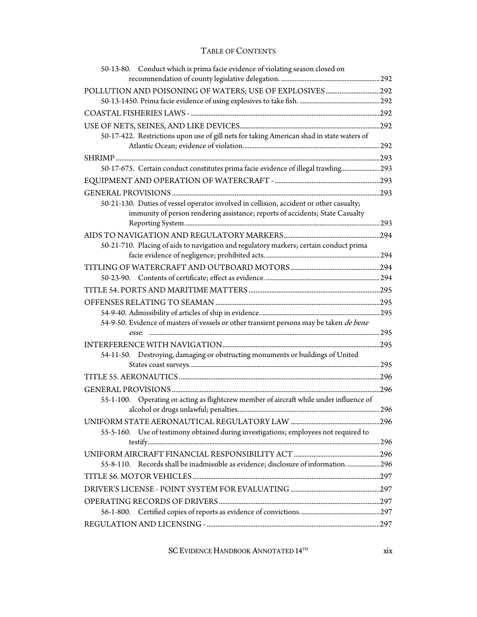| 50-13-80. Conduct which is prima facie evidence of violating season closed on              |  |
|--------------------------------------------------------------------------------------------|--|
|                                                                                            |  |
| POLLUTION AND POISONING OF WATERS; USE OF EXPLOSIVES 292                                   |  |
|                                                                                            |  |
|                                                                                            |  |
|                                                                                            |  |
| 50-17-422. Restrictions upon use of gill nets for taking American shad in state waters of  |  |
|                                                                                            |  |
|                                                                                            |  |
| 50-17-675. Certain conduct constitutes prima facie evidence of illegal trawling 293        |  |
|                                                                                            |  |
|                                                                                            |  |
| 50-21-130. Duties of vessel operator involved in collision, accident or other casualty;    |  |
| immunity of person rendering assistance; reports of accidents; State Casualty              |  |
|                                                                                            |  |
|                                                                                            |  |
| 50-21-710. Placing of aids to navigation and regulatory markers; certain conduct prima     |  |
|                                                                                            |  |
|                                                                                            |  |
|                                                                                            |  |
|                                                                                            |  |
|                                                                                            |  |
|                                                                                            |  |
| 54-9-50. Evidence of masters of vessels or other transient persons may be taken de bene    |  |
|                                                                                            |  |
| 54-11-50. Destroying, damaging or obstructing monuments or buildings of United             |  |
|                                                                                            |  |
|                                                                                            |  |
|                                                                                            |  |
| Operating or acting as flightcrew member of aircraft while under influence of<br>55-1-100. |  |
|                                                                                            |  |
|                                                                                            |  |
| 55-5-160. Use of testimony obtained during investigations; employees not required to       |  |
|                                                                                            |  |
|                                                                                            |  |
| 55-8-110. Records shall be inadmissible as evidence; disclosure of information.  296       |  |
|                                                                                            |  |
|                                                                                            |  |
|                                                                                            |  |
| 56-1-800.                                                                                  |  |
|                                                                                            |  |
|                                                                                            |  |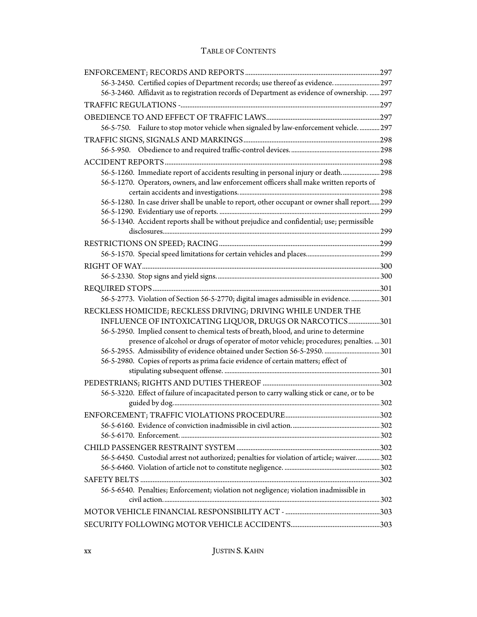| 56-3-2450. Certified copies of Department records; use thereof as evidence297                 |     |
|-----------------------------------------------------------------------------------------------|-----|
| 56-3-2460. Affidavit as to registration records of Department as evidence of ownership.  297  |     |
|                                                                                               |     |
|                                                                                               |     |
| 56-5-750. Failure to stop motor vehicle when signaled by law-enforcement vehicle.  297        |     |
|                                                                                               |     |
|                                                                                               |     |
|                                                                                               |     |
| 56-5-1260. Immediate report of accidents resulting in personal injury or death 298            |     |
| 56-5-1270. Operators, owners, and law enforcement officers shall make written reports of      |     |
|                                                                                               |     |
| 56-5-1280. In case driver shall be unable to report, other occupant or owner shall report 299 |     |
|                                                                                               |     |
| 56-5-1340. Accident reports shall be without prejudice and confidential; use; permissible     |     |
|                                                                                               |     |
|                                                                                               |     |
|                                                                                               |     |
|                                                                                               |     |
|                                                                                               |     |
|                                                                                               |     |
| 56-5-2773. Violation of Section 56-5-2770; digital images admissible in evidence.  301        |     |
| RECKLESS HOMICIDE; RECKLESS DRIVING; DRIVING WHILE UNDER THE                                  |     |
| INFLUENCE OF INTOXICATING LIQUOR, DRUGS OR NARCOTICS301                                       |     |
| 56-5-2950. Implied consent to chemical tests of breath, blood, and urine to determine         |     |
| presence of alcohol or drugs of operator of motor vehicle; procedures; penalties.  301        |     |
|                                                                                               |     |
| 56-5-2980. Copies of reports as prima facie evidence of certain matters; effect of            |     |
|                                                                                               |     |
| 56-5-3220. Effect of failure of incapacitated person to carry walking stick or cane, or to be |     |
|                                                                                               |     |
| ENFORCEMENT: TRAFFIC VIOLATIONS PROCEDURE.                                                    | 302 |
|                                                                                               |     |
|                                                                                               |     |
|                                                                                               |     |
| 56-5-6450. Custodial arrest not authorized; penalties for violation of article; waiver 302    |     |
|                                                                                               |     |
|                                                                                               |     |
| 56-5-6540. Penalties; Enforcement; violation not negligence; violation inadmissible in        |     |
|                                                                                               |     |
|                                                                                               |     |
|                                                                                               |     |
|                                                                                               |     |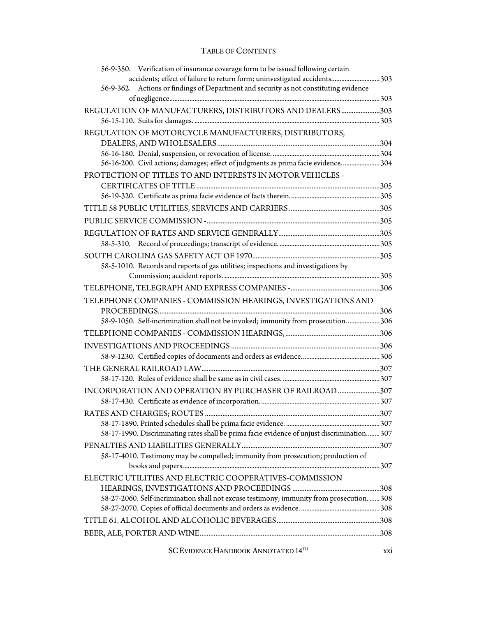| 56-9-350. Verification of insurance coverage form to be issued following certain            |      |
|---------------------------------------------------------------------------------------------|------|
| accidents; effect of failure to return form; uninvestigated accidents 303                   |      |
| 56-9-362. Actions or findings of Department and security as not constituting evidence       |      |
|                                                                                             |      |
| REGULATION OF MANUFACTURERS, DISTRIBUTORS AND DEALERS303                                    |      |
|                                                                                             |      |
| REGULATION OF MOTORCYCLE MANUFACTURERS, DISTRIBUTORS,                                       |      |
|                                                                                             |      |
|                                                                                             |      |
| 56-16-200. Civil actions; damages; effect of judgments as prima facie evidence 304          |      |
| PROTECTION OF TITLES TO AND INTERESTS IN MOTOR VEHICLES -                                   |      |
|                                                                                             |      |
|                                                                                             |      |
|                                                                                             |      |
|                                                                                             |      |
|                                                                                             |      |
|                                                                                             |      |
|                                                                                             |      |
| 58-5-1010. Records and reports of gas utilities; inspections and investigations by          |      |
|                                                                                             |      |
|                                                                                             |      |
| TELEPHONE COMPANIES - COMMISSION HEARINGS, INVESTIGATIONS AND                               |      |
|                                                                                             |      |
| 58-9-1050. Self-incrimination shall not be invoked; immunity from prosecution306            |      |
|                                                                                             |      |
|                                                                                             |      |
|                                                                                             |      |
|                                                                                             |      |
|                                                                                             |      |
| INCORPORATION AND OPERATION BY PURCHASER OF RAILROAD 307                                    |      |
|                                                                                             |      |
|                                                                                             | .307 |
|                                                                                             |      |
| 58-17-1990. Discriminating rates shall be prima facie evidence of unjust discrimination 307 |      |
|                                                                                             |      |
| 58-17-4010. Testimony may be compelled; immunity from prosecution; production of            |      |
|                                                                                             |      |
| ELECTRIC UTILITIES AND ELECTRIC COOPERATIVES-COMMISSION                                     |      |
|                                                                                             |      |
| 58-27-2060. Self-incrimination shall not excuse testimony; immunity from prosecution.  308  |      |
|                                                                                             |      |
|                                                                                             |      |
|                                                                                             |      |
| SC EVIDENCE HANDBOOK ANNOTATED 14TH                                                         | XX1  |
|                                                                                             |      |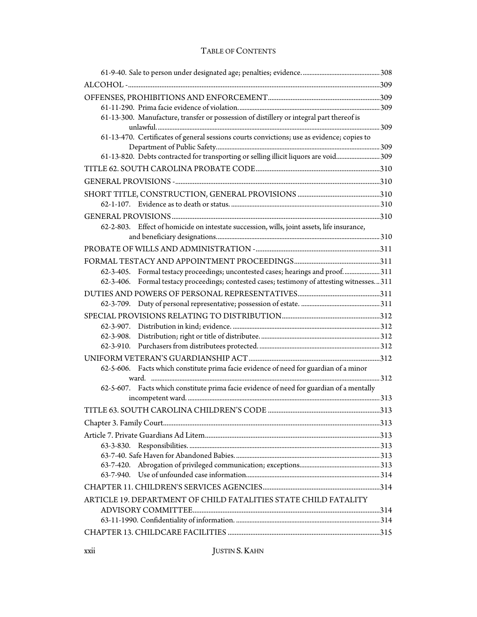| 61-13-300. Manufacture, transfer or possession of distillery or integral part thereof is            |  |
|-----------------------------------------------------------------------------------------------------|--|
|                                                                                                     |  |
| 61-13-470. Certificates of general sessions courts convictions; use as evidence; copies to          |  |
| 61-13-820. Debts contracted for transporting or selling illicit liquors are void 309                |  |
|                                                                                                     |  |
|                                                                                                     |  |
|                                                                                                     |  |
|                                                                                                     |  |
|                                                                                                     |  |
| 62-2-803. Effect of homicide on intestate succession, wills, joint assets, life insurance,          |  |
|                                                                                                     |  |
|                                                                                                     |  |
|                                                                                                     |  |
| 62-3-405. Formal testacy proceedings; uncontested cases; hearings and proof311                      |  |
| Formal testacy proceedings; contested cases; testimony of attesting witnesses311<br>$62 - 3 - 406.$ |  |
|                                                                                                     |  |
| $62 - 3 - 709.$                                                                                     |  |
|                                                                                                     |  |
|                                                                                                     |  |
|                                                                                                     |  |
|                                                                                                     |  |
|                                                                                                     |  |
| 62-5-606. Facts which constitute prima facie evidence of need for guardian of a minor               |  |
| 62-5-607. Facts which constitute prima facie evidence of need for guardian of a mentally            |  |
|                                                                                                     |  |
|                                                                                                     |  |
|                                                                                                     |  |
|                                                                                                     |  |
|                                                                                                     |  |
|                                                                                                     |  |
|                                                                                                     |  |
|                                                                                                     |  |
|                                                                                                     |  |
| ARTICLE 19. DEPARTMENT OF CHILD FATALITIES STATE CHILD FATALITY                                     |  |
|                                                                                                     |  |
|                                                                                                     |  |
|                                                                                                     |  |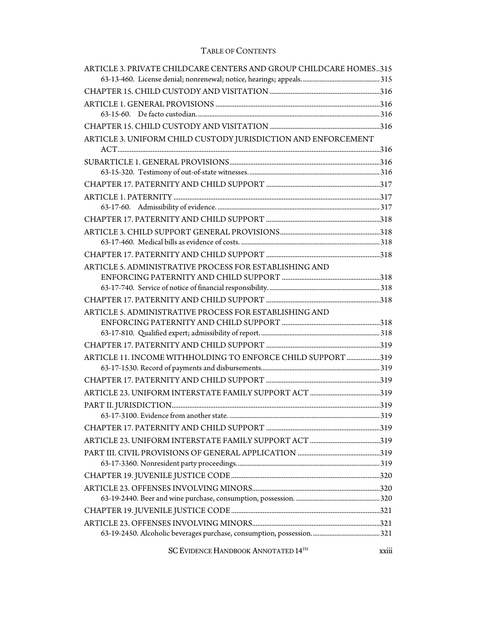| ARTICLE 3. PRIVATE CHILDCARE CENTERS AND GROUP CHILDCARE HOMES315 |       |
|-------------------------------------------------------------------|-------|
|                                                                   |       |
|                                                                   |       |
|                                                                   |       |
|                                                                   |       |
|                                                                   |       |
| ARTICLE 3. UNIFORM CHILD CUSTODY JURISDICTION AND ENFORCEMENT     |       |
|                                                                   |       |
|                                                                   |       |
|                                                                   |       |
|                                                                   |       |
|                                                                   |       |
|                                                                   |       |
|                                                                   |       |
|                                                                   |       |
|                                                                   |       |
|                                                                   |       |
| ARTICLE 5. ADMINISTRATIVE PROCESS FOR ESTABLISHING AND            |       |
|                                                                   |       |
|                                                                   |       |
|                                                                   |       |
| ARTICLE 5. ADMINISTRATIVE PROCESS FOR ESTABLISHING AND            |       |
|                                                                   |       |
|                                                                   |       |
|                                                                   |       |
| ARTICLE 11. INCOME WITHHOLDING TO ENFORCE CHILD SUPPORT 319       |       |
|                                                                   |       |
|                                                                   |       |
|                                                                   |       |
|                                                                   |       |
|                                                                   |       |
|                                                                   |       |
|                                                                   |       |
|                                                                   |       |
|                                                                   |       |
|                                                                   |       |
|                                                                   |       |
|                                                                   |       |
|                                                                   |       |
|                                                                   |       |
|                                                                   |       |
| SC EVIDENCE HANDBOOK ANNOTATED 14TH                               | xxiii |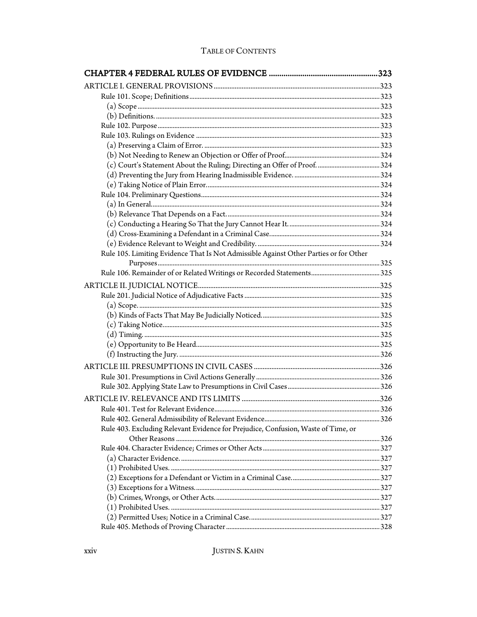| Rule 105. Limiting Evidence That Is Not Admissible Against Other Parties or for Other |  |
|---------------------------------------------------------------------------------------|--|
|                                                                                       |  |
|                                                                                       |  |
|                                                                                       |  |
|                                                                                       |  |
|                                                                                       |  |
|                                                                                       |  |
|                                                                                       |  |
|                                                                                       |  |
|                                                                                       |  |
|                                                                                       |  |
|                                                                                       |  |
|                                                                                       |  |
|                                                                                       |  |
|                                                                                       |  |
|                                                                                       |  |
|                                                                                       |  |
|                                                                                       |  |
| Rule 403. Excluding Relevant Evidence for Prejudice, Confusion, Waste of Time, or     |  |
|                                                                                       |  |
|                                                                                       |  |
|                                                                                       |  |
|                                                                                       |  |
|                                                                                       |  |
|                                                                                       |  |
|                                                                                       |  |
|                                                                                       |  |
|                                                                                       |  |
|                                                                                       |  |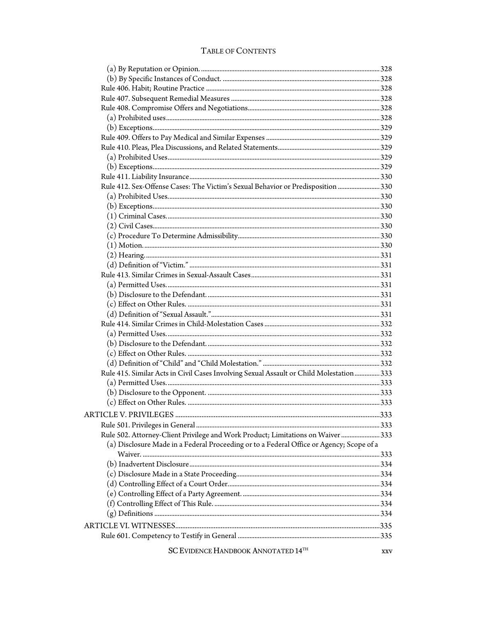| Rule 412. Sex-Offense Cases: The Victim's Sexual Behavior or Predisposition  330         |            |
|------------------------------------------------------------------------------------------|------------|
|                                                                                          |            |
|                                                                                          |            |
|                                                                                          |            |
|                                                                                          |            |
|                                                                                          |            |
|                                                                                          |            |
|                                                                                          |            |
|                                                                                          |            |
|                                                                                          |            |
|                                                                                          |            |
|                                                                                          |            |
|                                                                                          |            |
|                                                                                          |            |
|                                                                                          |            |
|                                                                                          |            |
|                                                                                          |            |
|                                                                                          |            |
|                                                                                          |            |
| Rule 415. Similar Acts in Civil Cases Involving Sexual Assault or Child Molestation 333  |            |
|                                                                                          |            |
|                                                                                          |            |
|                                                                                          |            |
|                                                                                          | .333       |
|                                                                                          |            |
| Rule 502. Attorney-Client Privilege and Work Product; Limitations on Waiver  333         |            |
| (a) Disclosure Made in a Federal Proceeding or to a Federal Office or Agency; Scope of a |            |
|                                                                                          |            |
|                                                                                          |            |
|                                                                                          |            |
|                                                                                          |            |
|                                                                                          |            |
|                                                                                          |            |
|                                                                                          |            |
|                                                                                          |            |
|                                                                                          |            |
|                                                                                          |            |
| SC EVIDENCE HANDBOOK ANNOTATED 14TH                                                      | <b>XXV</b> |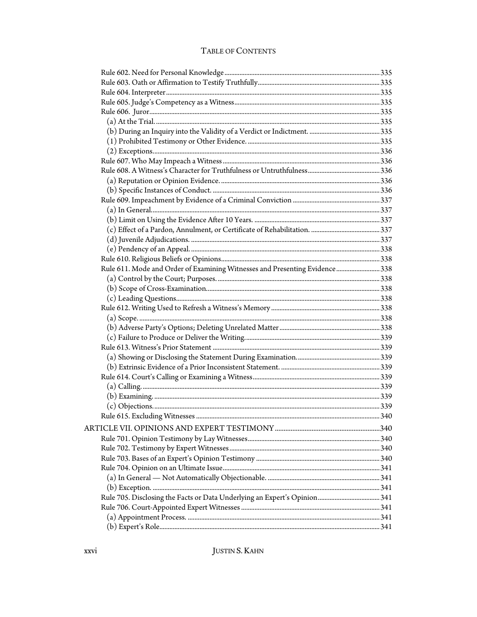| Rule 611. Mode and Order of Examining Witnesses and Presenting Evidence 338 |  |
|-----------------------------------------------------------------------------|--|
|                                                                             |  |
|                                                                             |  |
|                                                                             |  |
|                                                                             |  |
|                                                                             |  |
|                                                                             |  |
|                                                                             |  |
|                                                                             |  |
|                                                                             |  |
|                                                                             |  |
|                                                                             |  |
|                                                                             |  |
|                                                                             |  |
|                                                                             |  |
|                                                                             |  |
|                                                                             |  |
|                                                                             |  |
|                                                                             |  |
|                                                                             |  |
|                                                                             |  |
|                                                                             |  |
|                                                                             |  |
|                                                                             |  |
|                                                                             |  |
|                                                                             |  |
|                                                                             |  |
|                                                                             |  |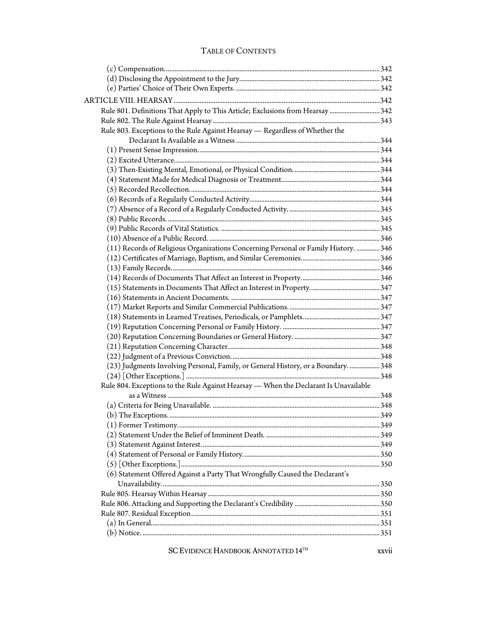| Rule 801. Definitions That Apply to This Article; Exclusions from Hearsay  342       |  |
|--------------------------------------------------------------------------------------|--|
|                                                                                      |  |
| Rule 803. Exceptions to the Rule Against Hearsay — Regardless of Whether the         |  |
|                                                                                      |  |
|                                                                                      |  |
|                                                                                      |  |
|                                                                                      |  |
|                                                                                      |  |
|                                                                                      |  |
|                                                                                      |  |
|                                                                                      |  |
|                                                                                      |  |
|                                                                                      |  |
|                                                                                      |  |
| (11) Records of Religious Organizations Concerning Personal or Family History.  346  |  |
|                                                                                      |  |
|                                                                                      |  |
|                                                                                      |  |
|                                                                                      |  |
|                                                                                      |  |
|                                                                                      |  |
|                                                                                      |  |
|                                                                                      |  |
|                                                                                      |  |
|                                                                                      |  |
|                                                                                      |  |
| (23) Judgments Involving Personal, Family, or General History, or a Boundary.  348   |  |
|                                                                                      |  |
| Rule 804. Exceptions to the Rule Against Hearsay — When the Declarant Is Unavailable |  |
|                                                                                      |  |
|                                                                                      |  |
|                                                                                      |  |
|                                                                                      |  |
|                                                                                      |  |
|                                                                                      |  |
|                                                                                      |  |
|                                                                                      |  |
| (6) Statement Offered Against a Party That Wrongfully Caused the Declarant's         |  |
|                                                                                      |  |
|                                                                                      |  |
|                                                                                      |  |
|                                                                                      |  |
|                                                                                      |  |
|                                                                                      |  |

SC EVIDENCE HANDBOOK ANNOTATED 14<sup>TH</sup> xxvii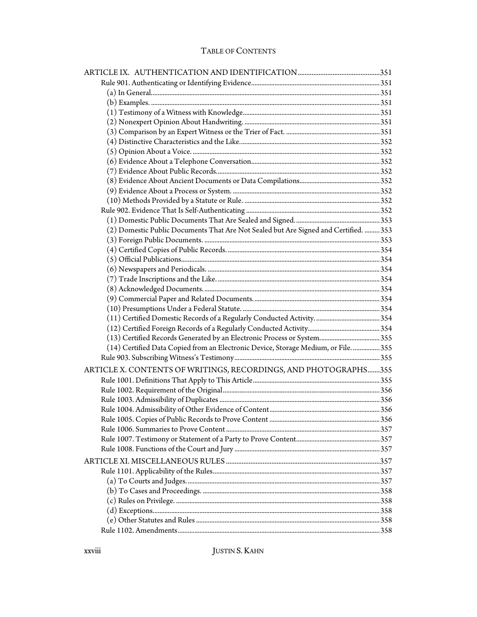| (2) Domestic Public Documents That Are Not Sealed but Are Signed and Certified.  353 |  |
|--------------------------------------------------------------------------------------|--|
|                                                                                      |  |
|                                                                                      |  |
|                                                                                      |  |
|                                                                                      |  |
|                                                                                      |  |
|                                                                                      |  |
|                                                                                      |  |
|                                                                                      |  |
|                                                                                      |  |
|                                                                                      |  |
|                                                                                      |  |
| (14) Certified Data Copied from an Electronic Device, Storage Medium, or File.  355  |  |
|                                                                                      |  |
| ARTICLE X. CONTENTS OF WRITINGS, RECORDINGS, AND PHOTOGRAPHS355                      |  |
|                                                                                      |  |
|                                                                                      |  |
|                                                                                      |  |
|                                                                                      |  |
|                                                                                      |  |
|                                                                                      |  |
|                                                                                      |  |
|                                                                                      |  |
|                                                                                      |  |
|                                                                                      |  |
|                                                                                      |  |
|                                                                                      |  |
|                                                                                      |  |
|                                                                                      |  |
|                                                                                      |  |
|                                                                                      |  |

xxviii JUSTIN S. KAHN